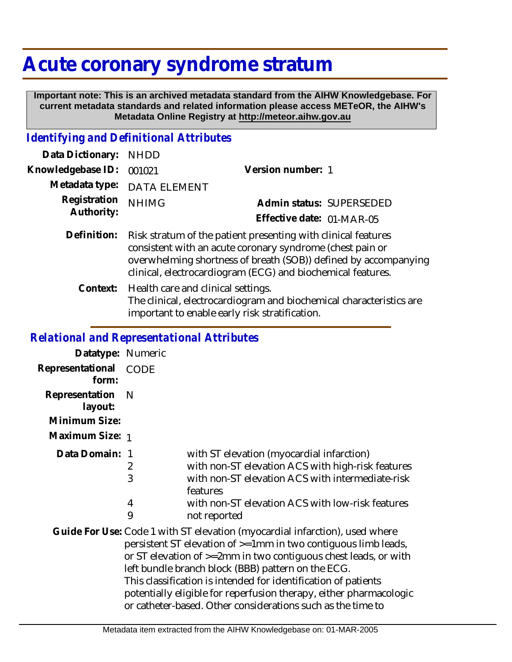# **Acute coronary syndrome stratum**

 **Important note: This is an archived metadata standard from the AIHW Knowledgebase. For current metadata standards and related information please access METeOR, the AIHW's Metadata Online Registry at http://meteor.aihw.gov.au**

## *Identifying and Definitional Attributes*

| Data Dictionary:           | <b>NHDD</b>                                                                                                                                                                                                                                                  |                           |                          |
|----------------------------|--------------------------------------------------------------------------------------------------------------------------------------------------------------------------------------------------------------------------------------------------------------|---------------------------|--------------------------|
| Knowledgebase ID:          | 001021                                                                                                                                                                                                                                                       | Version number: 1         |                          |
| Metadata type:             | <b>DATA ELEMENT</b>                                                                                                                                                                                                                                          |                           |                          |
| Registration<br>Authority: | <b>NHIMG</b>                                                                                                                                                                                                                                                 |                           | Admin status: SUPERSEDED |
|                            |                                                                                                                                                                                                                                                              | Effective date: 01-MAR-05 |                          |
| Definition:                | Risk stratum of the patient presenting with clinical features<br>consistent with an acute coronary syndrome (chest pain or<br>overwhelming shortness of breath (SOB)) defined by accompanying<br>clinical, electrocardiogram (ECG) and biochemical features. |                           |                          |
| Context:                   | Health care and clinical settings.<br>The clinical, electrocardiogram and biochemical characteristics are<br>important to enable early risk stratification.                                                                                                  |                           |                          |
|                            |                                                                                                                                                                                                                                                              |                           |                          |

#### *Relational and Representational Attributes*

| Datatype: Numeric                          |                  |                                                                                                                                                                                                                                                                                                                                                                                                                                                                                    |
|--------------------------------------------|------------------|------------------------------------------------------------------------------------------------------------------------------------------------------------------------------------------------------------------------------------------------------------------------------------------------------------------------------------------------------------------------------------------------------------------------------------------------------------------------------------|
| Representational<br>form:                  | <b>CODE</b>      |                                                                                                                                                                                                                                                                                                                                                                                                                                                                                    |
| Representation<br>layout:<br>Minimum Size: | <sup>N</sup>     |                                                                                                                                                                                                                                                                                                                                                                                                                                                                                    |
| Maximum Size: 1                            |                  |                                                                                                                                                                                                                                                                                                                                                                                                                                                                                    |
| Data Domain:                               | 2<br>3<br>4<br>9 | with ST elevation (myocardial infarction)<br>with non-ST elevation ACS with high-risk features<br>with non-ST elevation ACS with intermediate-risk<br>features<br>with non-ST elevation ACS with low-risk features<br>not reported                                                                                                                                                                                                                                                 |
|                                            |                  | Guide For Use: Code 1 with ST elevation (myocardial infarction), used where<br>persistent ST elevation of >=1mm in two contiguous limb leads,<br>or ST elevation of $\ge$ =2mm in two contiguous chest leads, or with<br>left bundle branch block (BBB) pattern on the ECG.<br>This classification is intended for identification of patients<br>potentially eligible for reperfusion therapy, either pharmacologic<br>or catheter-based. Other considerations such as the time to |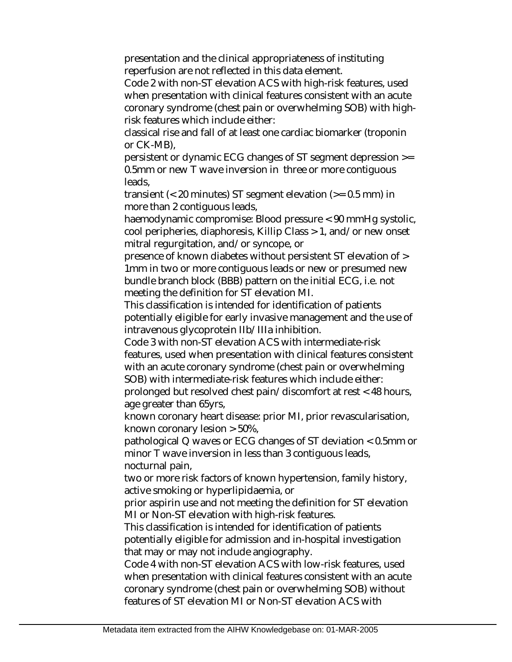presentation and the clinical appropriateness of instituting reperfusion are not reflected in this data element.

Code 2 with non-ST elevation ACS with high-risk features, used when presentation with clinical features consistent with an acute coronary syndrome (chest pain or overwhelming SOB) with highrisk features which include either:

classical rise and fall of at least one cardiac biomarker (troponin or CK-MB),

persistent or dynamic ECG changes of ST segment depression >= 0.5mm or new T wave inversion in three or more contiguous leads,

transient (< 20 minutes) ST segment elevation (>= 0.5 mm) in more than 2 contiguous leads,

haemodynamic compromise: Blood pressure < 90 mmHg systolic, cool peripheries, diaphoresis, Killip Class > 1, and/or new onset mitral regurgitation, and/or syncope, or

presence of known diabetes without persistent ST elevation of > 1mm in two or more contiguous leads or new or presumed new bundle branch block (BBB) pattern on the initial ECG, i.e. not meeting the definition for ST elevation MI.

This classification is intended for identification of patients potentially eligible for early invasive management and the use of intravenous glycoprotein IIb/IIIa inhibition.

Code 3 with non-ST elevation ACS with intermediate-risk features, used when presentation with clinical features consistent with an acute coronary syndrome (chest pain or overwhelming SOB) with intermediate-risk features which include either: prolonged but resolved chest pain/discomfort at rest < 48 hours, age greater than 65yrs,

known coronary heart disease: prior MI, prior revascularisation, known coronary lesion > 50%,

pathological Q waves or ECG changes of ST deviation < 0.5mm or minor T wave inversion in less than 3 contiguous leads, nocturnal pain,

two or more risk factors of known hypertension, family history, active smoking or hyperlipidaemia, or

prior aspirin use and not meeting the definition for ST elevation MI or Non-ST elevation with high-risk features.

This classification is intended for identification of patients potentially eligible for admission and in-hospital investigation that may or may not include angiography.

Code 4 with non-ST elevation ACS with low-risk features, used when presentation with clinical features consistent with an acute coronary syndrome (chest pain or overwhelming SOB) without features of ST elevation MI or Non-ST elevation ACS with